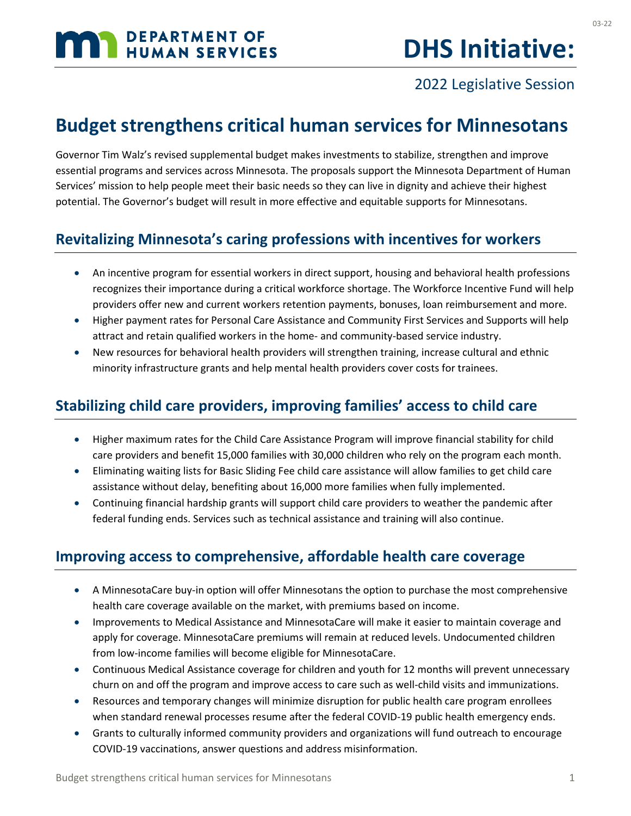# **DHS Initiative:**

# 2022 Legislative Session

# **Budget strengthens critical human services for Minnesotans**

Governor Tim Walz's revised supplemental budget makes investments to stabilize, strengthen and improve essential programs and services across Minnesota. The proposals support the Minnesota Department of Human Services' mission to help people meet their basic needs so they can live in dignity and achieve their highest potential. The Governor's budget will result in more effective and equitable supports for Minnesotans.

# **Revitalizing Minnesota's caring professions with incentives for workers**

- An incentive program for essential workers in direct support, housing and behavioral health professions recognizes their importance during a critical workforce shortage. The Workforce Incentive Fund will help providers offer new and current workers retention payments, bonuses, loan reimbursement and more.
- Higher payment rates for Personal Care Assistance and Community First Services and Supports will help attract and retain qualified workers in the home- and community-based service industry.
- New resources for behavioral health providers will strengthen training, increase cultural and ethnic minority infrastructure grants and help mental health providers cover costs for trainees.

### **Stabilizing child care providers, improving families' access to child care**

- Higher maximum rates for the Child Care Assistance Program will improve financial stability for child care providers and benefit 15,000 families with 30,000 children who rely on the program each month.
- Eliminating waiting lists for Basic Sliding Fee child care assistance will allow families to get child care assistance without delay, benefiting about 16,000 more families when fully implemented.
- Continuing financial hardship grants will support child care providers to weather the pandemic after federal funding ends. Services such as technical assistance and training will also continue.

### **Improving access to comprehensive, affordable health care coverage**

- A MinnesotaCare buy-in option will offer Minnesotans the option to purchase the most comprehensive health care coverage available on the market, with premiums based on income.
- Improvements to Medical Assistance and MinnesotaCare will make it easier to maintain coverage and apply for coverage. MinnesotaCare premiums will remain at reduced levels. Undocumented children from low-income families will become eligible for MinnesotaCare.
- Continuous Medical Assistance coverage for children and youth for 12 months will prevent unnecessary churn on and off the program and improve access to care such as well-child visits and immunizations.
- Resources and temporary changes will minimize disruption for public health care program enrollees when standard renewal processes resume after the federal COVID-19 public health emergency ends.
- Grants to culturally informed community providers and organizations will fund outreach to encourage COVID-19 vaccinations, answer questions and address misinformation.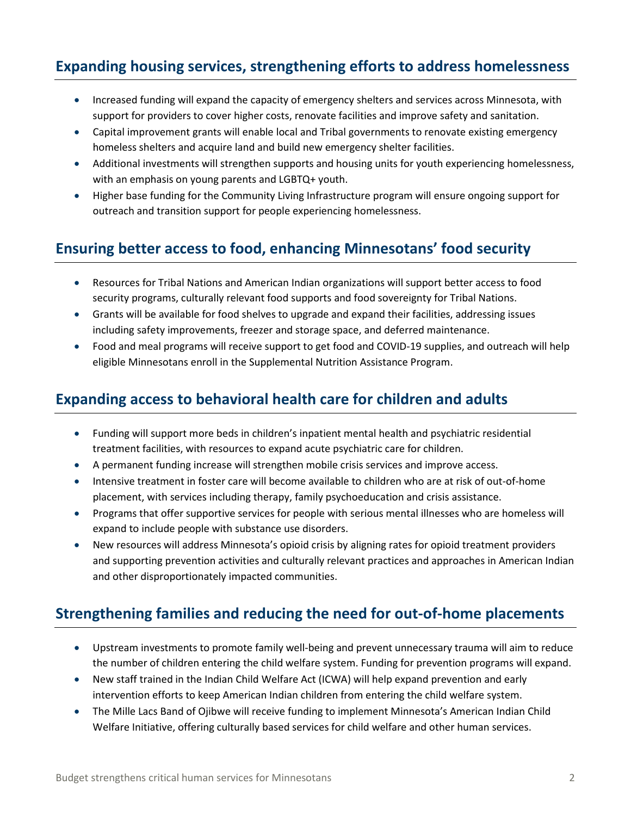### **Expanding housing services, strengthening efforts to address homelessness**

- Increased funding will expand the capacity of emergency shelters and services across Minnesota, with support for providers to cover higher costs, renovate facilities and improve safety and sanitation.
- Capital improvement grants will enable local and Tribal governments to renovate existing emergency homeless shelters and acquire land and build new emergency shelter facilities.
- Additional investments will strengthen supports and housing units for youth experiencing homelessness, with an emphasis on young parents and LGBTQ+ youth.
- Higher base funding for the Community Living Infrastructure program will ensure ongoing support for outreach and transition support for people experiencing homelessness.

#### **Ensuring better access to food, enhancing Minnesotans' food security**

- Resources for Tribal Nations and American Indian organizations will support better access to food security programs, culturally relevant food supports and food sovereignty for Tribal Nations.
- Grants will be available for food shelves to upgrade and expand their facilities, addressing issues including safety improvements, freezer and storage space, and deferred maintenance.
- Food and meal programs will receive support to get food and COVID-19 supplies, and outreach will help eligible Minnesotans enroll in the Supplemental Nutrition Assistance Program.

#### **Expanding access to behavioral health care for children and adults**

- Funding will support more beds in children's inpatient mental health and psychiatric residential treatment facilities, with resources to expand acute psychiatric care for children.
- A permanent funding increase will strengthen mobile crisis services and improve access.
- Intensive treatment in foster care will become available to children who are at risk of out-of-home placement, with services including therapy, family psychoeducation and crisis assistance.
- Programs that offer supportive services for people with serious mental illnesses who are homeless will expand to include people with substance use disorders.
- New resources will address Minnesota's opioid crisis by aligning rates for opioid treatment providers and supporting prevention activities and culturally relevant practices and approaches in American Indian and other disproportionately impacted communities.

# **Strengthening families and reducing the need for out-of-home placements**

- Upstream investments to promote family well-being and prevent unnecessary trauma will aim to reduce the number of children entering the child welfare system. Funding for prevention programs will expand.
- New staff trained in the Indian Child Welfare Act (ICWA) will help expand prevention and early intervention efforts to keep American Indian children from entering the child welfare system.
- The Mille Lacs Band of Ojibwe will receive funding to implement Minnesota's American Indian Child Welfare Initiative, offering culturally based services for child welfare and other human services.